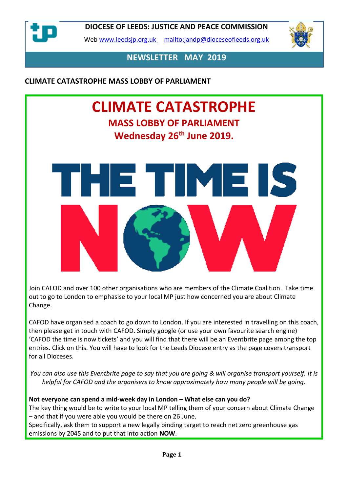

Web [www.leedsjp.org.uk](http://www.leedsjp.org.uk/) <mailto:jandp@dioceseofleeds.org.uk>



**NEWSLETTER MAY 2019**

**CLIMATE CATASTROPHE MASS LOBBY OF PARLIAMENT**

# **CLIMATE CATASTROPHE MASS LOBBY OF PARLIAMENT Wednesday 26th June 2019.**

ETTIMEIS

Join CAFOD and over 100 other organisations who are members of the Climate Coalition. Take time out to go to London to emphasise to your local MP just how concerned you are about Climate Change.

CAFOD have organised a coach to go down to London. If you are interested in travelling on this coach, then please get in touch with CAFOD. Simply google (or use your own favourite search engine) 'CAFOD the time is now tickets' and you will find that there will be an Eventbrite page among the top entries. Click on this. You will have to look for the Leeds Diocese entry as the page covers transport for all Dioceses.

*You can also use this Eventbrite page to say that you are going & will organise transport yourself. It is helpful for CAFOD and the organisers to know approximately how many people will be going.*

### **Not everyone can spend a mid-week day in London – What else can you do?**

The key thing would be to write to your local MP telling them of your concern about Climate Change – and that if you were able you would be there on 26 June.

Specifically, ask them to support a new legally binding target to reach net zero greenhouse gas emissions by 2045 and to put that into action **NOW**.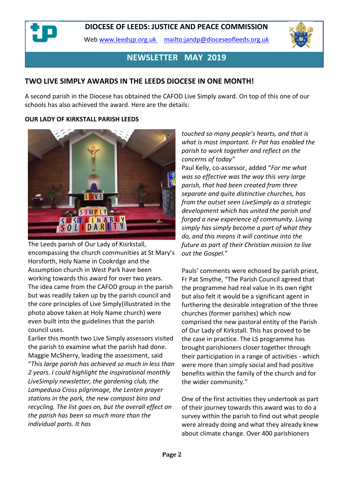Web [www.leedsjp.org.uk](http://www.leedsjp.org.uk/) <mailto:jandp@dioceseofleeds.org.uk>



# **NEWSLETTER MAY 2019**

### **TWO LIVE SIMPLY AWARDS IN THE LEEDS DIOCESE IN ONE MONTH!**

A second parish in the Diocese has obtained the CAFOD Live Simply award. On top of this one of our schools has also achieved the award. Here are the details:

#### **OUR LADY OF KIRKSTALL PARISH LEEDS**



The Leeds parish of Our Lady of Kisrkstall, encompassing the church communities at St Mary's Horsforth, Holy Name in Cookrdge and the Assumption church in West Park have been working towards this award for over two years. The idea came from the CAFOD group in the parish but was readily taken up by the parish council and the core principles of Live Simply(illustrated in the photo above taken at Holy Name church) were even built into the guidelines that the parish council uses.

Earlier this month two Live Simply assessors visited the parish to examine what the parish had done. Maggie McSherry, leading the assessment, said "*This large parish has achieved so much in less than 2 years. I could highlight the inspirational monthly LiveSimply newsletter, the gardening club, the Lampedusa Cross pilgrimage, the Lenten prayer stations in the park, the new compost bins and recycling. The list goes on, but the overall effect on the parish has been so much more than the individual parts. It has* 

*touched so many people's hearts, and that is what is most important. Fr Pat has enabled the parish to work together and reflect on the concerns of today"*

Paul Kelly, co-assessor, added "*For me what was so effective was the way this very large parish, that had been created from three separate and quite distinctive churches, has from the outset seen LiveSimply as a strategic development which has united the parish and forged a new experience of community. Living simply has simply become a part of what they do, and this means it will continue into the future as part of their Christian mission to live out the Gospel.*"

Pauls' comments were echosed by parish priest, Fr Pat Smythe, "The Parish Council agreed that the programme had real value in its own right but also felt it would be a significant agent in furthering the desirable integration of the three churches (former parishes) which now comprised the new pastoral entity of the Parish of Our Lady of Kirkstall. This has proved to be the case in practice. The LS programme has brought parishioners closer together through their participation in a range of activities - which were more than simply social and had positive benefits within the family of the church and for the wider community."

One of the first activities they undertook as part of their journey towards this award was to do a survey within the parish to find out what people were already doing and what they already knew about climate change. Over 400 parishioners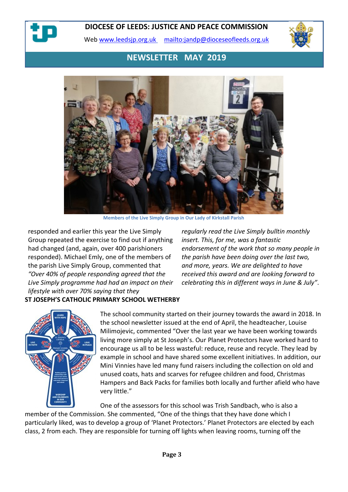

Web [www.leedsjp.org.uk](http://www.leedsjp.org.uk/) <mailto:jandp@dioceseofleeds.org.uk>



# **NEWSLETTER MAY 2019**



**Members of the Live Simply Group in Our Lady of Kirkstall Parish**

responded and earlier this year the Live Simply Group repeated the exercise to find out if anything had changed (and, again, over 400 parishioners responded). Michael Emly, one of the members of the parish Live Simply Group, commented that *"Over 40% of people responding agreed that the Live Simply programme had had an impact on their lifestyle with over 70% saying that they*

*regularly read the Live Simply bulltin monthly insert. This, for me, was a fantastic endorsement of the work that so many people in the parish have been doing over the last two, and more, years. We are delighted to have received this award and are looking forward to celebrating this in different ways in June & July"*.

#### **ST JOSEPH'S CATHOLIC PRIMARY SCHOOL WETHERBY**



The school community started on their journey towards the award in 2018. In the school newsletter issued at the end of April, the headteacher, Louise Milimojevic, commented "Over the last year we have been working towards living more simply at St Joseph's. Our Planet Protectors have worked hard to encourage us all to be less wasteful: reduce, reuse and recycle. They lead by example in school and have shared some excellent initiatives. In addition, our Mini Vinnies have led many fund raisers including the collection on old and unused coats, hats and scarves for refugee children and food, Christmas Hampers and Back Packs for families both locally and further afield who have very little."

One of the assessors for this school was Trish Sandbach, who is also a member of the Commission. She commented, "One of the things that they have done which I particularly liked, was to develop a group of 'Planet Protectors.' Planet Protectors are elected by each class, 2 from each. They are responsible for turning off lights when leaving rooms, turning off the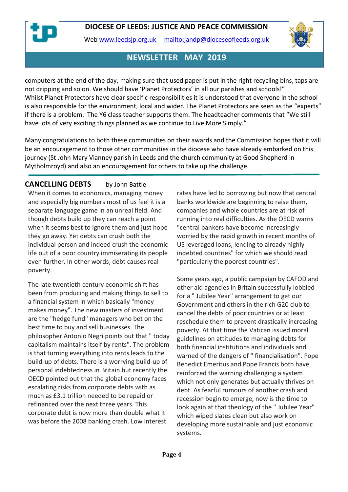Web [www.leedsjp.org.uk](http://www.leedsjp.org.uk/) <mailto:jandp@dioceseofleeds.org.uk>



# **NEWSLETTER MAY 2019**

computers at the end of the day, making sure that used paper is put in the right recycling bins, taps are not dripping and so on. We should have 'Planet Protectors' in all our parishes and schools!" Whilst Planet Protectors have clear specific responsibilities it is understood that everyone in the school is also responsible for the environment, local and wider. The Planet Protectors are seen as the "experts" if there is a problem. The Y6 class teacher supports them. The headteacher comments that "We still have lots of very exciting things planned as we continue to Live More Simply."

Many congratulations to both these communities on their awards and the Commission hopes that it will be an encouragement to those other communities in the diocese who have already embarked on this journey (St John Mary Vianney parish in Leeds and the church community at Good Shepherd in Mytholmroyd) and also an encouragement for others to take up the challenge.

**CANCELLING DEBTS** by John Battle

When it comes to economics, managing money and especially big numbers most of us feel it is a separate language game in an unreal field. And though debts build up they can reach a point when it seems best to ignore them and just hope they go away. Yet debts can crush both the individual person and indeed crush the economic life out of a poor country immiserating its people even further. In other words, debt causes real poverty.

The late twentieth century economic shift has been from producing and making things to sell to a financial system in which basically "money makes money". The new masters of investment are the "hedge fund" managers who bet on the best time to buy and sell businesses. The philosopher Antonio Negri points out that " today capitalism maintains itself by rents". The problem is that turning everything into rents leads to the build-up of debts. There is a worrying build-up of personal indebtedness in Britain but recently the OECD pointed out that the global economy faces escalating risks from corporate debts with as much as £3.1 trillion needed to be repaid or refinanced over the next three years. This corporate debt is now more than double what it was before the 2008 banking crash. Low interest

rates have led to borrowing but now that central banks worldwide are beginning to raise them, companies and whole countries are at risk of running into real difficulties. As the OECD warns "central bankers have become increasingly worried by the rapid growth in recent months of US leveraged loans, lending to already highly indebted countries" for which we should read "particularly the poorest countries".

Some years ago, a public campaign by CAFOD and other aid agencies in Britain successfully lobbied for a " Jubilee Year" arrangement to get our Government and others in the rich G20 club to cancel the debts of poor countries or at least reschedule them to prevent drastically increasing poverty. At that time the Vatican issued moral guidelines on attitudes to managing debts for both financial institutions and individuals and warned of the dangers of " financialisation". Pope Benedict Emeritus and Pope Francis both have reinforced the warning challenging a system which not only generates but actually thrives on debt. As fearful rumours of another crash and recession begin to emerge, now is the time to look again at that theology of the " Jubilee Year" which wiped slates clean but also work on developing more sustainable and just economic systems.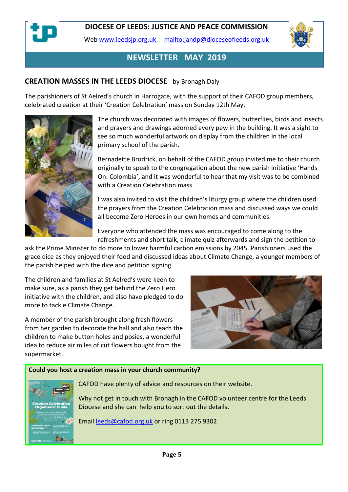

Web [www.leedsjp.org.uk](http://www.leedsjp.org.uk/) <mailto:jandp@dioceseofleeds.org.uk>



# **NEWSLETTER MAY 2019**

### **CREATION MASSES IN THE LEEDS DIOCESE** by Bronagh Daly

The parishioners of St Aelred's church in Harrogate, with the support of their CAFOD group members, celebrated creation at their 'Creation Celebration' mass on Sunday 12th May.



The church was decorated with images of flowers, butterflies, birds and insects and prayers and drawings adorned every pew in the building. It was a sight to see so much wonderful artwork on display from the children in the local primary school of the parish.

Bernadette Brodrick, on behalf of the CAFOD group invited me to their church originally to speak to the congregation about the new parish initiative 'Hands On: Colombia', and it was wonderful to hear that my visit was to be combined with a Creation Celebration mass.

I was also invited to visit the children's liturgy group where the children used the prayers from the Creation Celebration mass and discussed ways we could all become Zero Heroes in our own homes and communities.

Everyone who attended the mass was encouraged to come along to the refreshments and short talk, climate quiz afterwards and sign the petition to

ask the Prime Minister to do more to lower harmful carbon emissions by 2045. Parishioners used the grace dice as they enjoyed their food and discussed ideas about Climate Change, a younger members of the parish helped with the dice and petition signing.

The children and families at St Aelred's were keen to make sure, as a parish they get behind the Zero Hero initiative with the children, and also have pledged to do more to tackle Climate Change.

A member of the parish brought along fresh flowers from her garden to decorate the hall and also teach the children to make button holes and posies, a wonderful idea to reduce air miles of cut flowers bought from the supermarket.



#### **Could you host a creation mass in your church community?**



CAFOD have plenty of advice and resources on their website.

Why not get in touch with Bronagh in the CAFOD volunteer centre for the Leeds Diocese and she can help you to sort out the details.

Email [leeds@cafod.org.uk](mailto:leeds@cafod.org.uk) or ring 0113 275 9302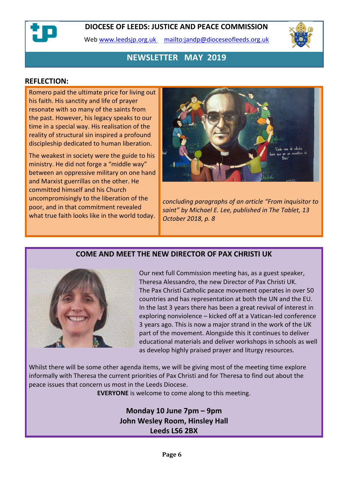Web [www.leedsjp.org.uk](http://www.leedsjp.org.uk/) <mailto:jandp@dioceseofleeds.org.uk>



# **NEWSLETTER MAY 2019**

#### **REFLECTION:**

Romero paid the ultimate price for living out his faith. His sanctity and life of prayer resonate with so many of the saints from the past. However, his legacy speaks to our time in a special way. His realisation of the reality of structural sin inspired a profound discipleship dedicated to human liberation.

The weakest in society were the guide to his ministry. He did not forge a "middle way" between an oppressive military on one hand and Marxist guerrillas on the other. He committed himself and his Church uncompromisingly to the liberation of the poor, and in that commitment revealed what true faith looks like in the world today.



*concluding paragraphs of an article "From inquisitor to saint" by Michael E. Lee, published in The Tablet, 13 October 2018, p. 8*

### **COME AND MEET THE NEW DIRECTOR OF PAX CHRISTI UK**



Our next full Commission meeting has, as a guest speaker, Theresa Alessandro, the new Director of Pax Christi UK. The Pax Christi Catholic peace movement operates in over 50 countries and has representation at both the UN and the EU. In the last 3 years there has been a great revival of interest in exploring nonviolence – kicked off at a Vatican-led conference 3 years ago. This is now a major strand in the work of the UK part of the movement. Alongside this it continues to deliver educational materials and deliver workshops in schools as well as develop highly praised prayer and liturgy resources.

Whilst there will be some other agenda items, we will be giving most of the meeting time explore informally with Theresa the current priorities of Pax Christi and for Theresa to find out about the peace issues that concern us most in the Leeds Diocese.

**EVERYONE** is welcome to come along to this meeting.

**Monday 10 June 7pm – 9pm John Wesley Room, Hinsley Hall Leeds LS6 2BX**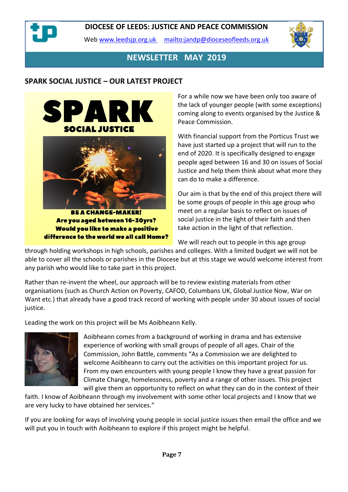

Web [www.leedsjp.org.uk](http://www.leedsjp.org.uk/) <mailto:jandp@dioceseofleeds.org.uk>



### **NEWSLETTER MAY 2019**

### **SPARK SOCIAL JUSTICE – OUR LATEST PROJECT**



Are you aged between 16-30yrs? **Would you like to make a positive** difference to the world we all call Home? For a while now we have been only too aware of the lack of younger people (with some exceptions) coming along to events organised by the Justice & Peace Commission.

With financial support from the Porticus Trust we have just started up a project that will run to the end of 2020. It is specifically designed to engage people aged between 16 and 30 on issues of Social Justice and help them think about what more they can do to make a difference.

Our aim is that by the end of this project there will be some groups of people in this age group who meet on a regular basis to reflect on issues of social justice in the light of their faith and then take action in the light of that reflection.

We will reach out to people in this age group through holding workshops in high schools, parishes and colleges. With a limited budget we will not be able to cover all the schools or parishes in the Diocese but at this stage we would welcome interest from any parish who would like to take part in this project.

Rather than re-invent the wheel, our approach will be to review existing materials from other organisations (such as Church Action on Poverty, CAFOD, Columbans UK, Global Justice Now, War on Want etc.) that already have a good track record of working with people under 30 about issues of social justice.

Leading the work on this project will be Ms Aoibheann Kelly.



Aoibheann comes from a background of working in drama and has extensive experience of working with small groups of people of all ages. Chair of the Commission, John Battle, comments "As a Commission we are delighted to welcome Aoibheann to carry out the activities on this important project for us. From my own encounters with young people I know they have a great passion for Climate Change, homelessness, poverty and a range of other issues. This project will give them an opportunity to reflect on what they can do in the context of their

faith. I know of Aoibheann through my involvement with some other local projects and I know that we are very lucky to have obtained her services."

If you are looking for ways of involving young people in social justice issues then email the office and we will put you in touch with Aoibheann to explore if this project might be helpful.